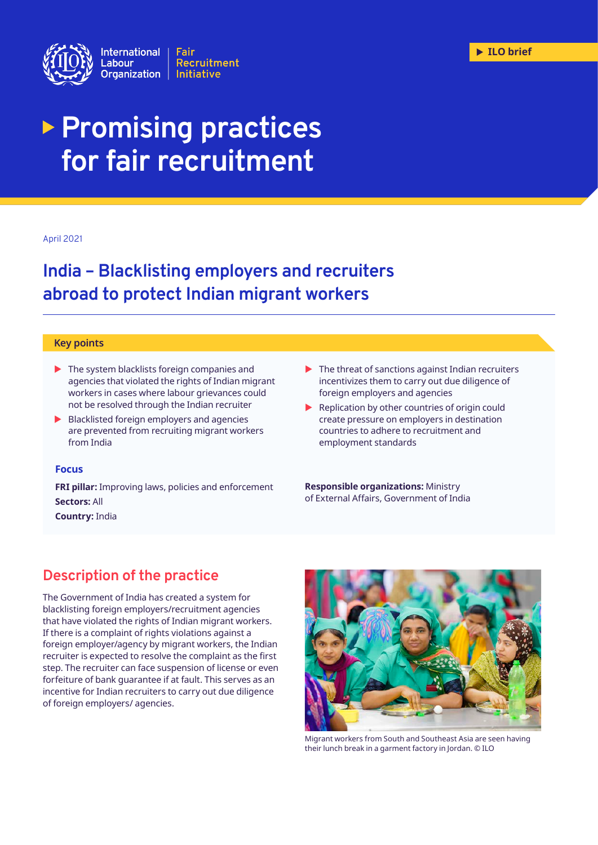

# **Promising practices for fair recruitment**

#### April 2021

## **India – Blacklisting employers and recruiters abroad to protect Indian migrant workers**

#### **Key points**

- $\blacktriangleright$  The system blacklists foreign companies and agencies that violated the rights of Indian migrant workers in cases where labour grievances could not be resolved through the Indian recruiter
- $\blacktriangleright$  Blacklisted foreign employers and agencies are prevented from recruiting migrant workers from India

#### **Focus**

**FRI pillar:** Improving laws, policies and enforcement **Sectors:** All

**Country:** India

- $\blacktriangleright$  The threat of sanctions against Indian recruiters incentivizes them to carry out due diligence of foreign employers and agencies
- $\blacktriangleright$  Replication by other countries of origin could create pressure on employers in destination countries to adhere to recruitment and employment standards

**Responsible organizations:** Ministry of External Affairs, Government of India

## **Description of the practice**

The Government of India has created a system for blacklisting foreign employers/recruitment agencies that have violated the rights of Indian migrant workers. If there is a complaint of rights violations against a foreign employer/agency by migrant workers, the Indian recruiter is expected to resolve the complaint as the first step. The recruiter can face suspension of license or even forfeiture of bank guarantee if at fault. This serves as an incentive for Indian recruiters to carry out due diligence of foreign employers/ agencies.



Migrant workers from South and Southeast Asia are seen having their lunch break in a garment factory in Jordan. © ILO